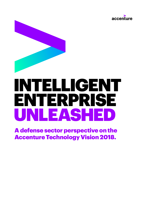



# INTELLIGENT ENTERPRISE UNLEASHED

A defense sector perspective on the Accenture Technology Vision 2018.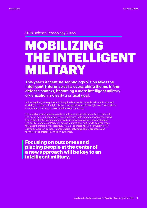2018 Defense Technology Vision

# MOBILIZING THE INTELLIGENT MILITARY

**This year's Accenture Technology Vision takes the Intelligent Enterprise as its overarching theme. In the defense context, becoming a more intelligent military organization is clearly a critical goal.**

Achieving that goal requires unlocking the data that is currently held within silos and enabling it to flow to the right place at the right time and in the right way. That's critical to achieving enhanced mission readiness and outcomes.

The world presents an increasingly volatile operational and security environment. The rise of non-traditional actors and challenges to democratic governance arising from cyberattacks and state-sponsored subversion also create new challenges. The ability to operate intelligently across multinational partners to address these threats is therefore a vital objective. NATO's Federated Mission Networking<sup>1</sup> , for example, expressly calls for interoperability between people, processes and technology to create joint mission outcomes.

**Focusing on outcomes and placing people at the center of a new approach will be key to an intelligent military.**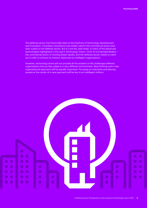The defense sector has historically been at the forefront of technology development and innovation. Countless innovations now widely used in the commercial arena have their origins in the defense sector. But it's not the case today. In many of the advanced technologies highlighted in this year's Technology Vision—from AI to Extended Reality the commercial sector is moving ahead rapidly, and the defense sector needs to catch up in order to achieve its mission objectives as intelligent organizations.

However, technology alone will not provide all the answers to the challenges defense organizations face as they adapt to a very different environment. New thinking and a new organizational approach will be equally important. Focusing on outcomes and placing people at the center of a new approach will be key to an intelligent military.

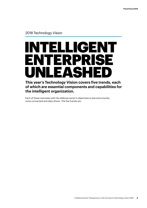#### 2018 Technology Vision

# INTELLIGENT ENTERPRISE<br>LINI FASHEN UNLEASHE

#### **This year's Technology Vision covers five trends, each of which are essential components and capabilities for the intelligent organization.**

Each of these resonates with the defense sector's objectives to become smarter, more connected and data-driven. The five trends are: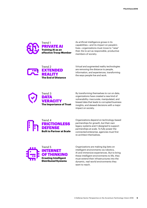

As artificial intelligence grows in its capabilities—and its impact on people's lives—organizations must move to "raise" their AIs to act as responsible, productive members of society.



Virtual and augmented reality technologies are removing the distance to people, information, and experiences, transforming the ways people live and work.



By transforming themselves to run on data, organizations have created a new kind of vulnerability: inaccurate, manipulated, and biased data that leads to corrupted business insights, and skewed decisions with a major impact on society.



Organizations depend on technology-based partnerships for growth, but their own legacy systems aren't designed to support partnerships at scale. To fully power the connected enterprise, agencies must first re-architect themselves.



Organizations are making big bets on intelligent environments via robotics, AI and immersive experiences. But to bring these intelligent environments to life, they must extend their infrastructures into the dynamic, real-world environments they want to reach.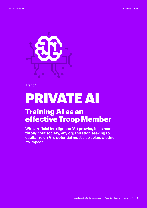

# PRIVATE AI

### **Training AI as an** effective Troop Member

**With artificial intelligence (AI) growing in its reach throughout society, any organization seeking to capitalize on AI's potential must also acknowledge its impact.**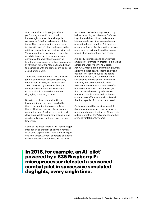AI's potential is no longer just about performing a specific task: it will increasingly take its place alongside people as a fully-formed member of the team. That means how it is trained as a trustworthy and efficient colleague in the military context is an increasingly vital task. Think about it as a boot camp for AI—this needs to be every bit as immersive and exhaustive for smart technologies as traditional boot camp is for human recruits. In effect, in order for AI to be trusted it has to be imbued with the same esprit de corps as its human peers.

There's no question that AI will transform (and in some senses already is) military capabilities. In 2016, for example, an AI 'pilot' powered by a \$35 Raspberry Pi microprocessor defeated a seasoned combat pilot in successive simulated dogfights, every single time2 .

Despite the clear potential, military investment in AI has been dwarfed by that of the leading tech players. Does that matter? Increasingly, the answer is a resounding yes. A failure to invest in and develop AI will leave military organizations significantly disadvantaged over the next few years.

Some of the areas where AI will have a major impact can be thought of as improvements to existing capabilities. Cyber defense is just one new threat. A cyber adversary equipped with advanced AI capabilities will not wait

for its enemies' technology to catch up before launching an offensive. Defense logistics and the ability to collaborate internationally are other areas where AI offers significant benefits. But there are other, new forms of collaboration between people and smart machines that create possibilities to do entirely new things.

AI's ability to process and analyze vast amounts of information creates implications across the Observe, Orient, Decide, Act (OODA) loop. From augmenting human ability to detect new threats to analyzing countless variables beyond the scope of human capacity, AI could transform surveillance and situational awareness. Similarly, AI's evolution could make it a superior decision-maker to many of its human counterparts—and it never gets tired or overwhelmed by information. But for AI to collaborate with its human counterparts effectively, and achieve all that it's capable of, it has to be trusted.

Collaboration will be most successful if organizations ensure there are ways of understanding and trusting an AI system's outputs, whether that's by people or other artificially intelligent systems.

### **In 2016, for example, an AI 'pilot' powered by a \$35 Raspberry Pi microprocessor defeated a seasoned combat pilot in successive simulated dogfights, every single time.**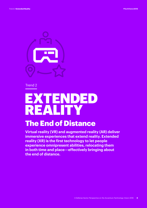

# EXTENDED REALITY

## The End of Distance

**Virtual reality (VR) and augmented reality (AR) deliver immersive experiences that extend reality. Extended reality (XR) is the first technology to let people experience omnipresent abilities, relocating them in both time and place—effectively bringing about the end of distance.**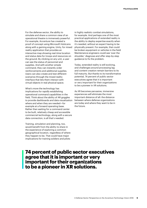For the defense sector, the ability to simulate and share a common view of an operational theatre is immensely powerful. For example, Accenture has created a proof of concept using Microsoft HoloLens along with a gaming engine, Unity, for mixed reality application that provides an interactive map showing real-time location and status data for troops and resources on the ground. By clicking on any unit, a user can see the status of personnel and supplies. And with another simple command, they can instantly order reinforcements and additional supplies. Users can also create and test different scenarios through the mixed reality interface that lets them interact with virtual objects in real physical space.

What's more the technology has implications for rapidly establishing operational command capabilities in the field. Think about the ability of AR goggles to provide dashboards and data visualization where and when they are needed—for example at a forward operating base. Rather than waiting for a command center to be built, relatively cheap and accessible commercial technology, along with a secure data connection, is all that's needed.

Training, simulation and planning, too, would benefit from the ability to share in the experience of exploring a common geographical location, regardless of where they happen to be. That could have major implications for training soldiers and pilots

in highly realistic combat simulations, for example. And perhaps one of the most practical applications of extended reality is the ability to deploy expertise exactly when it's needed, without an expert having to be physically present. For example, that could be broken equipment or vehicles in the field Maintenance engineers could see 'over the shoulder,' diagnose and offer step-by-step guidance to fix the problem.

Today, extended reality is still evolving, and challenges around processing lag and content creation remain barriers to its full maturity. But thanks to its transformative potential, 74 percent of public sector executives agree that it is important or very important for their organizations to be a pioneer in XR solutions.

As XR becomes pervasive, immersive experiences will eliminate the most important distance of all: the distance between where defense organizations are today and where they want to be in the future.

### **74 percent of public sector executives agree that it is important or very important for their organizations to be a pioneer in XR solutions.**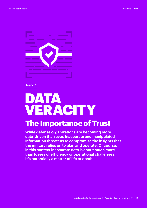

## DATA VERACITY

### The Importance of Trust

**While defense organizations are becoming more data-driven than ever, inaccurate and manipulated information threatens to compromise the insights that the military relies on to plan and operate. Of course, in this context inaccurate data is about much more than losses of efficiency or operational challenges. It's potentially a matter of life or death.**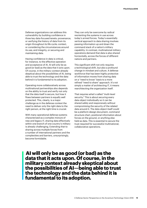Defense organizations can address this vulnerability by building confidence in three key data-focused tenets: provenance, or verifying the history of data from its origin throughout its life cycle; context, or considering the circumstances around its use; and integrity, or securing and maintaining data.

Having confidence in data is critical, for instance, to the effective operation and acceptance of AI. AI will only be as good (or bad) as the data that it acts upon. Of course, in the military context already skeptical about the possibilities of AI, being able to trust the technology and the data behind it is fundamental to its adoption.

Operating more collaboratively across multinational partnerships also depends on the ability to trust and verify not only that the data itself is secure, but how it flows between partners is equally well protected. This, clearly, is a major challenge as in the defense context the need to deliver only the right data to the right person, at the right time is crucial.

With many operational defense systems characterized as a complex mixture of new and legacy IT, sharing data effectively within one branch of one country's military is already challenging. Extending that to sharing across multiple forces from a number of international partners and the complexities and barriers, unsurprisingly, become formidable.

They can only be overcome by radical reorienting the systems in use across today's armed forces. Today's essentially vertical approach to data sharing involves passing information up and down the command stack of a nation's military capability. In contrast, multinational military operations demand that data is also shared horizontally, across the forces of different nations and partners.

This significant shift not only requires a technological shift, but also a profound change in mindset and culture. A defense workforce that has been highly protective of information moves from sharing data on a "need to know" basis to a more refined "need to share" approach. It's not simply a matter of architecting IT, it means rearchitecting the organization itself.

That requires what's called "multi-level security." This is about securing every data object individually so it can be shared safely and responsively without compromising the security of the related data around it. The data object itself could be a platform design document, command structure chart, positional information about forces on the ground, or anything else held as data. This is essential to secure the trust required for successful multinational, collaborative operations.

 **AI will only be as good (or bad) as the data that it acts upon. Of course, in the military context already skeptical about the possibilities of AI—being able to trust the technology and the data behind it is fundamental to its adoption.**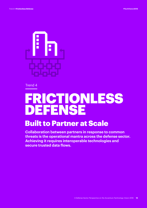

## FRICTIONLESS DEFENSE

### Built to Partner at Scale

**Collaboration between partners in response to common threats is the operational mantra across the defense sector. Achieving it requires interoperable technologies and secure trusted data flows.**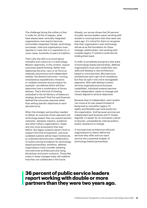The challenge facing the military is that in order for all this to happen, what have always been vertically integrated organizations now need to become horizontally integrated. People, technology, processes, roles and organizations must operate in a way that is in opposition to, in many cases, hundreds of years of tradition.

That's why the shift is as much about mentality and culture as it is technology. Mission objectives, in this context, require outcomes-based thinking. Rather than deploying the army, navy or air force as relatively autonomous and independent entities, the desired outcomes—running simultaneous expeditionary missions or multiple maritime rescue mission for example—are defined which will then determine how a combination of forces delivers. That's the kind of thinking embodied in the UK Ministry of Defence's strategy document<sup>3</sup> that first and foremost defined the outcomes required rather than setting specific objectives to each discrete force.

When the strategic partnerships needed to deliver an outcome-driven approach are technology-based, they can expand partner networks—between industry, academia and other military organizations—faster and into more ecosystems than ever before. But legacy systems weren't built to support this kind of expansion, and soon, outdated systems will be major hindrances to multinational/multi actor collaboration. To build a strong foundation for technologybased partnerships, therefore, defense organizations must consider adopting microservices architectures and using blockchain and smart contracts. Those that invest in these changes today will redefine how they can collaborate in the future.

Already, our survey shows that 36 percent of public service leaders report working with double or more partners than they were two years ago. It's critical for them to recognize that their organization's own technology will serve as the foundation for these strategic relationships—but working with complex legacy IT systems could also be holding them back.

In order to accelerate and grow a new wave of technology-based partnerships, defense organizations must start inside their own walls and develop a new architecture, based on microservices. Microservices architectures won't get rid of complexity, but they do split it into more manageable segments. With well-defined context services organized around business capabilities, individual systems become more independent, easier to manage and closely aligned to tactical objectives.

Because they're independent, each system can move at its own speed (instead of being tied to monolithic legacy IT). Agility and flexibility get hard-wired into the organization. And because services are independent (and business and IT closely aligned), it's easier for an innovation culture to flourish, unimpeded by internal politics and/or resistance to change.

A microservices architecture will push organizations to clearly define the services they offer and turn each service into a potential enabler of technology-based partnerships.

### **36 percent of public service leaders report working with double or more partners than they were two years ago.**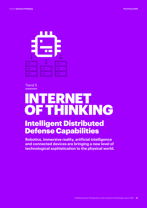

# INTERNET OF THINKING

### Intelligent Distributed Defense Capabilities

**Robotics, immersive reality, artificial intelligence and connected devices are bringing a new level of technological sophistication to the physical world.**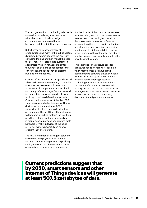The next generation of technology demands an overhaul of existing infrastructures, with a balance of cloud and edge computing, and a renewed focus on hardware to deliver intelligence everywhere.

But whereas for most commercial organizations and many in the public sector, distributed systems become increasingly connected to one another, it's not the case for defense. Here, distributed systems in a federated mission network are better thought of as pockets of connections that can function independently as discrete bubbles of connectivity.

Current infrastructures are designed around a few basic assumptions: enough bandwidth to support any remote application, an abundance of compute in a remote cloud, and nearly infinite storage. But the demand for immediate response times in physicalworld applications defies this approach. Current predictions suggest that by 2020, smart sensors and other Internet of Things devices will generate at least 507.5 zettabytes of data. Trying to do all of the computational heavy lifting offsite ultimately will become a limiting factor.<sup>4</sup> The resulting need for real-time systems puts hardware in focus: special-purpose and customizable hardware is making devices at the edge of networks more powerful and energy efficient than ever before.

The next generation of intelligent solutions are moving into physical environments, and key military strategies ride on pushing intelligence into the physical world. That's essential for collaborative joint missions.

But the flipside of this is that adversaries from terrorist groups to criminals—also now have access to technologies that allow them to operate in new ways. Defense organizations therefore have to understand and shape the new operating models they need to enable high-speed data flows in order to harness the potential of distributed intelligence and successfully neutralize the new threats they face.

This extended infrastructure calls for a renewed focus on hardware, at a time when many companies have grown accustomed to software-driven solutions as their go-to strategies. Public service organizations are taking note: our Technology Vision 2018 survey indicates 79 percent of executives believe it will be very critical over the next two years to leverage customer hardware and hardware accelerators to meet the computing demands of intelligent environments.

### **Current predictions suggest that by 2020, smart sensors and other Internet of Things devices will generate at least 507.5 zettabytes of data.**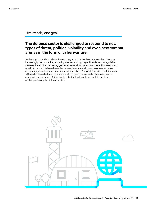Five trends, one goal

#### **The defense sector is challenged to respond to new types of threat, political volatility and even new combat arenas in the form of cyberwarfare.**

As the physical and virtual continue to merge and the borders between them become increasingly hard to define, acquiring new technology capabilities is a non-negotiable strategic imperative. Delivering greater situational awareness and the ability to respond rapidly to unpredictable adversaries require investments in, among others, AI, edge computing, as well as smart and secure connectivity. Today's information architectures will need to be redesigned to integrate with others to share and collaborate quickly, effectively and securely. But technology by itself will not be enough to meet the challenges facing the defense sector.

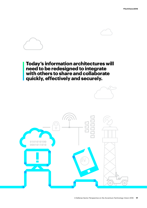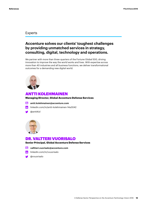#### Experts

#### **Accenture solves our clients' toughest challenges by providing unmatched services in strategy, consulting, digital, technology and operations.**

We partner with more than three-quarters of the Fortune Global 500, driving innovation to improve the way the world works and lives. With expertise across more than 40 industries and all business functions, we deliver transformational outcomes for a demanding new digital world.



#### ANTTI KOLEHMAINEN

#### **Managing Director, Global Accenture Defense Services**

- **antti.kolehmainen@accenture.com**
- $\text{lin}$  [linkedin.com/in/antti-kolehmainen-14a3042](http://www.linkedin.com/in/antti-kolehmainen-14a3042)
- [@anttiKol](https://twitter.com/anttiKol)



#### DR. VALTTERI VUORISALO

**Senior Principal, Global Accenture Defense Services**

- **valltteri.vuorisalo@accenture.com**
- in [linkedin.com/in/vvuorisalo](http://www.linkedin.com/in/vvuorisalo)
- [@vvuorisalo](https://twitter.com/vvuorisalo?lang=en)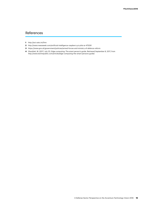#### References

- **1** http://act.nato.int/fmn
- **2** http://www.newsweek.com/artificial-intelligence-raspberry-pi-pilot-ai-475291
- **3** https://www.gov.uk/government/policies/armed-forces-and-ministry-of-defence-reform
- **4** Shacklett, M. (2017, July 21). Edge computing: The smart person's guide. Retrieved September 8, 2017, from http://www.techrepublic.com/article/edge-computing-the-smart-persons-guide/